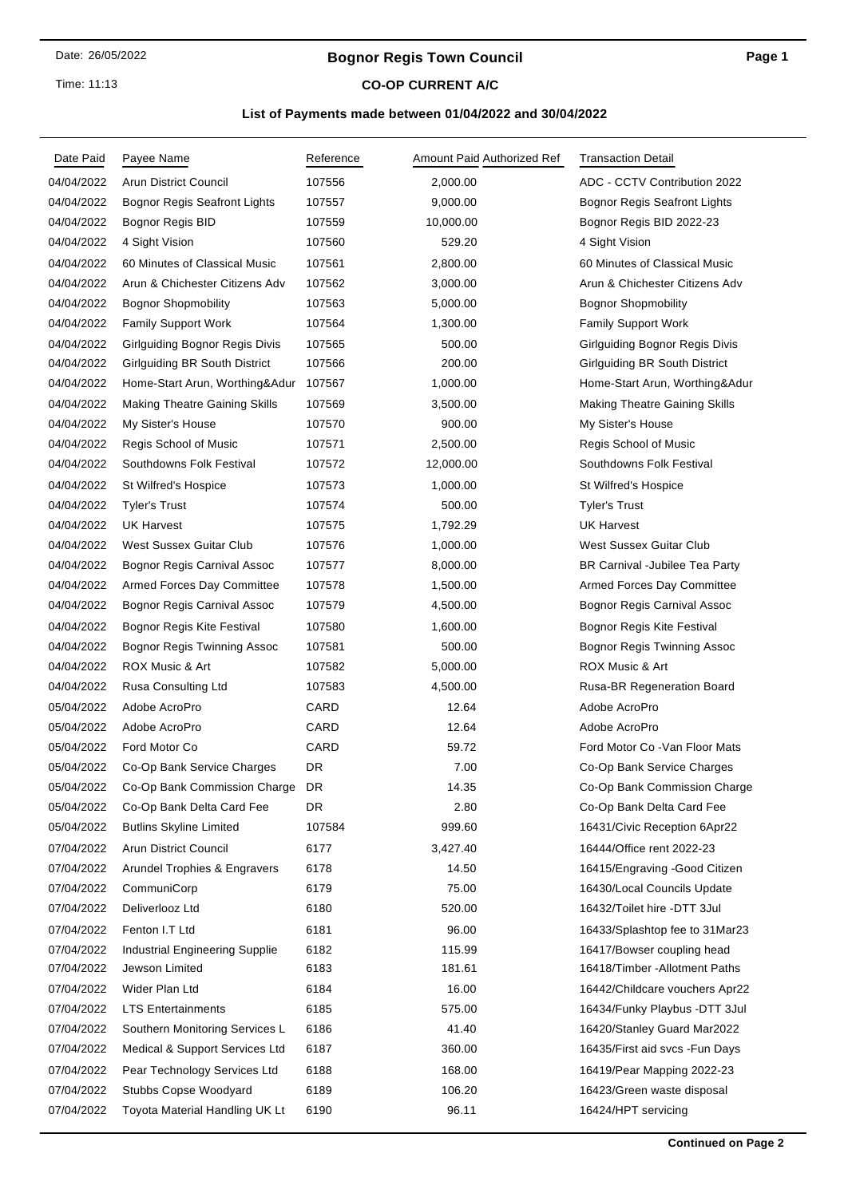### Time: 11:13

# **Bognor Regis Town Council**

## **CO-OP CURRENT A/C**

## **List of Payments made between 01/04/2022 and 30/04/2022**

| Date Paid  | Payee Name                            | Reference | Amount Paid Authorized Ref | <b>Transaction Detail</b>             |
|------------|---------------------------------------|-----------|----------------------------|---------------------------------------|
| 04/04/2022 | <b>Arun District Council</b>          | 107556    | 2,000.00                   | ADC - CCTV Contribution 2022          |
| 04/04/2022 | <b>Bognor Regis Seafront Lights</b>   | 107557    | 9,000.00                   | Bognor Regis Seafront Lights          |
| 04/04/2022 | Bognor Regis BID                      | 107559    | 10,000.00                  | Bognor Regis BID 2022-23              |
| 04/04/2022 | 4 Sight Vision                        | 107560    | 529.20                     | 4 Sight Vision                        |
| 04/04/2022 | 60 Minutes of Classical Music         | 107561    | 2,800.00                   | 60 Minutes of Classical Music         |
| 04/04/2022 | Arun & Chichester Citizens Adv        | 107562    | 3,000.00                   | Arun & Chichester Citizens Adv        |
| 04/04/2022 | <b>Bognor Shopmobility</b>            | 107563    | 5,000.00                   | <b>Bognor Shopmobility</b>            |
| 04/04/2022 | <b>Family Support Work</b>            | 107564    | 1,300.00                   | <b>Family Support Work</b>            |
| 04/04/2022 | <b>Girlguiding Bognor Regis Divis</b> | 107565    | 500.00                     | <b>Girlguiding Bognor Regis Divis</b> |
| 04/04/2022 | Girlguiding BR South District         | 107566    | 200.00                     | Girlguiding BR South District         |
| 04/04/2022 | Home-Start Arun, Worthing&Adur        | 107567    | 1,000.00                   | Home-Start Arun, Worthing&Adur        |
| 04/04/2022 | <b>Making Theatre Gaining Skills</b>  | 107569    | 3,500.00                   | <b>Making Theatre Gaining Skills</b>  |
| 04/04/2022 | My Sister's House                     | 107570    | 900.00                     | My Sister's House                     |
| 04/04/2022 | Regis School of Music                 | 107571    | 2,500.00                   | <b>Regis School of Music</b>          |
| 04/04/2022 | Southdowns Folk Festival              | 107572    | 12,000.00                  | Southdowns Folk Festival              |
| 04/04/2022 | St Wilfred's Hospice                  | 107573    | 1,000.00                   | St Wilfred's Hospice                  |
| 04/04/2022 | <b>Tyler's Trust</b>                  | 107574    | 500.00                     | <b>Tyler's Trust</b>                  |
| 04/04/2022 | <b>UK Harvest</b>                     | 107575    | 1,792.29                   | <b>UK Harvest</b>                     |
| 04/04/2022 | <b>West Sussex Guitar Club</b>        | 107576    | 1,000.00                   | West Sussex Guitar Club               |
| 04/04/2022 | Bognor Regis Carnival Assoc           | 107577    | 8,000.00                   | BR Carnival - Jubilee Tea Party       |
| 04/04/2022 | Armed Forces Day Committee            | 107578    | 1,500.00                   | Armed Forces Day Committee            |
| 04/04/2022 | Bognor Regis Carnival Assoc           | 107579    | 4,500.00                   | Bognor Regis Carnival Assoc           |
| 04/04/2022 | <b>Bognor Regis Kite Festival</b>     | 107580    | 1,600.00                   | Bognor Regis Kite Festival            |
| 04/04/2022 | Bognor Regis Twinning Assoc           | 107581    | 500.00                     | Bognor Regis Twinning Assoc           |
| 04/04/2022 | ROX Music & Art                       | 107582    | 5,000.00                   | ROX Music & Art                       |
| 04/04/2022 | Rusa Consulting Ltd                   | 107583    | 4,500.00                   | Rusa-BR Regeneration Board            |
| 05/04/2022 | Adobe AcroPro                         | CARD      | 12.64                      | Adobe AcroPro                         |
| 05/04/2022 | Adobe AcroPro                         | CARD      | 12.64                      | Adobe AcroPro                         |
| 05/04/2022 | Ford Motor Co                         | CARD      | 59.72                      | Ford Motor Co - Van Floor Mats        |
| 05/04/2022 | Co-Op Bank Service Charges            | DR        | 7.00                       | Co-Op Bank Service Charges            |
| 05/04/2022 | Co-Op Bank Commission Charge          | DR        | 14.35                      | Co-Op Bank Commission Charge          |
| 05/04/2022 | Co-Op Bank Delta Card Fee             | DR        | 2.80                       | Co-Op Bank Delta Card Fee             |
| 05/04/2022 | <b>Butlins Skyline Limited</b>        | 107584    | 999.60                     | 16431/Civic Reception 6Apr22          |
| 07/04/2022 | <b>Arun District Council</b>          | 6177      | 3,427.40                   | 16444/Office rent 2022-23             |
| 07/04/2022 | Arundel Trophies & Engravers          | 6178      | 14.50                      | 16415/Engraving -Good Citizen         |
| 07/04/2022 | CommuniCorp                           | 6179      | 75.00                      | 16430/Local Councils Update           |
| 07/04/2022 | Deliverlooz Ltd                       | 6180      | 520.00                     | 16432/Toilet hire -DTT 3Jul           |
| 07/04/2022 | Fenton I.T Ltd                        | 6181      | 96.00                      | 16433/Splashtop fee to 31Mar23        |
| 07/04/2022 | <b>Industrial Engineering Supplie</b> | 6182      | 115.99                     | 16417/Bowser coupling head            |
| 07/04/2022 | Jewson Limited                        | 6183      | 181.61                     | 16418/Timber - Allotment Paths        |
| 07/04/2022 | Wider Plan Ltd                        | 6184      | 16.00                      | 16442/Childcare vouchers Apr22        |
| 07/04/2022 | <b>LTS Entertainments</b>             | 6185      | 575.00                     | 16434/Funky Playbus - DTT 3Jul        |
| 07/04/2022 | Southern Monitoring Services L        | 6186      | 41.40                      | 16420/Stanley Guard Mar2022           |
| 07/04/2022 | Medical & Support Services Ltd        | 6187      | 360.00                     | 16435/First aid svcs - Fun Days       |
| 07/04/2022 | Pear Technology Services Ltd          | 6188      | 168.00                     | 16419/Pear Mapping 2022-23            |
| 07/04/2022 | Stubbs Copse Woodyard                 | 6189      | 106.20                     | 16423/Green waste disposal            |
| 07/04/2022 | Toyota Material Handling UK Lt        | 6190      | 96.11                      | 16424/HPT servicing                   |
|            |                                       |           |                            |                                       |